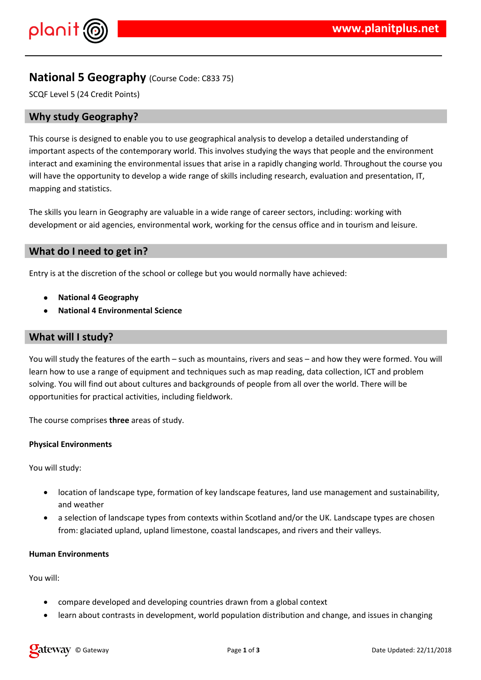

# **National 5 Geography** (Course Code: C833 75)

SCQF Level 5 (24 Credit Points)

## **Why study Geography?**

This course is designed to enable you to use geographical analysis to develop a detailed understanding of important aspects of the contemporary world. This involves studying the ways that people and the environment interact and examining the environmental issues that arise in a rapidly changing world. Throughout the course you will have the opportunity to develop a wide range of skills including research, evaluation and presentation, IT, mapping and statistics.

The skills you learn in Geography are valuable in a wide range of career sectors, including: working with development or aid agencies, environmental work, working for the census office and in tourism and leisure.

## **What do I need to get in?**

Entry is at the discretion of the school or college but you would normally have achieved:

- **National 4 Geography**
- **National 4 Environmental Science**

### **What will I study?**

You will study the features of the earth – such as mountains, rivers and seas – and how they were formed. You will learn how to use a range of equipment and techniques such as map reading, data collection, ICT and problem solving. You will find out about cultures and backgrounds of people from all over the world. There will be opportunities for practical activities, including fieldwork.

The course comprises **three** areas of study.

#### **Physical Environments**

You will study:

- location of landscape type, formation of key landscape features, land use management and sustainability, and weather
- a selection of landscape types from contexts within Scotland and/or the UK. Landscape types are chosen from: glaciated upland, upland limestone, coastal landscapes, and rivers and their valleys.

#### **Human Environments**

You will:

- compare developed and developing countries drawn from a global context
- learn about contrasts in development, world population distribution and change, and issues in changing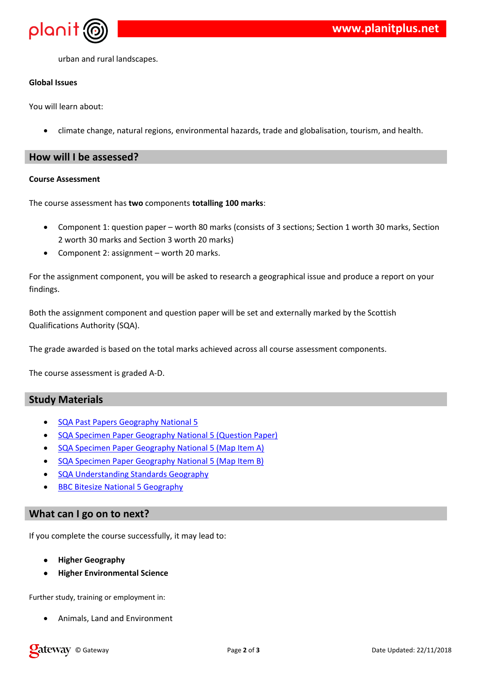$+$   $\frac{1}{2}$   $\frac{1}{2}$   $\frac{1}{2}$   $\frac{1}{2}$   $\frac{1}{2}$   $\frac{1}{2}$   $\frac{1}{2}$   $\frac{1}{2}$   $\frac{1}{2}$   $\frac{1}{2}$   $\frac{1}{2}$   $\frac{1}{2}$   $\frac{1}{2}$   $\frac{1}{2}$   $\frac{1}{2}$   $\frac{1}{2}$   $\frac{1}{2}$   $\frac{1}{2}$   $\frac{1}{2}$   $\frac{1}{2}$   $\frac{1}{2}$ 

 $#$ 

 $3\qquad 855$  \$  $\qquad$ 

 $*$  \$ &,  $*$  ) ' 0 ' \$ ' # & & '', 0 \$ ) 7 0 \$ + \$ & & '0 ) & \$,  $\theta$ 

|                    |           | #                         |  |                  |                           |                                                                           |  |  |
|--------------------|-----------|---------------------------|--|------------------|---------------------------|---------------------------------------------------------------------------|--|--|
| $\$\$              | $\%$      |                           |  |                  |                           |                                                                           |  |  |
| $\left( \ \right)$ | $\star$   |                           |  |                  |                           |                                                                           |  |  |
|                    |           | $\mathcal{F}=\mathcal{F}$ |  | $8 \t34'$ ), / - | $'$ 5 & $'$ )4, $/$ * ' & | $*$ 8 $*$ 88 $'$ ), / 0 $*$                                               |  |  |
|                    | & ' & ' - |                           |  |                  |                           |                                                                           |  |  |
|                    |           | $$888*8':>}8$ : $$$       |  |                  |                           | $9)$ ) $8'$ , $*$ , $*$ 5 $8'$ $8\$\$ +$ $*$ $*$ $\$\$$ , $*$ $*$ $*$ $*$ |  |  |
| $\left( \ \right)$ |           |                           |  |                  |                           | & + ) ', \$ / *) & # * * \$\$ , *, '' -                                   |  |  |

 $\hat{\mathbf{u}}$ 

 $( )$  \*  $, ' 8$  :; -

 $\overline{ }$ 

| ٠  |                                  | ( ) 8' 5   |              |   |   |    |
|----|----------------------------------|------------|--------------|---|---|----|
|    | $*$ &                            | $\leq$     | &            |   | & |    |
|    | $*$ &                            | $\leq$     | <u>&amp;</u> | ↜ |   |    |
|    | $*$ &                            | $\epsilon$ | &            |   |   | -9 |
| ٠  | <u>&amp;</u> '                   |            |              |   |   |    |
| 99 | $< 8 \, \sqrt{8}$<br>- \$<br>9 & |            |              |   |   |    |

1 \*,  $$ *$ ) \*\*  $8, $ $ $ 8$ 

 $\mathcal{L}$ 

 $\mathbf{I}$  $\pm 1$ 

 $: 8, 90 "2'#8',$